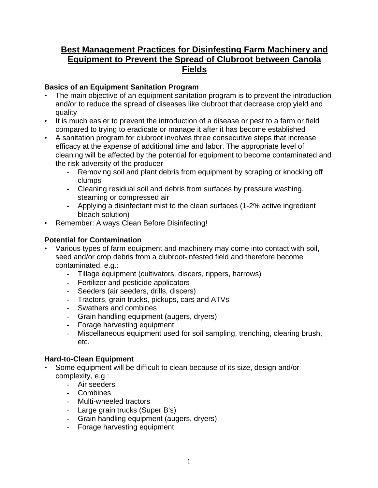# **Best Management Practices for Disinfesting Farm Machinery and Equipment to Prevent the Spread of Clubroot between Canola Fields**

## **Basics of an Equipment Sanitation Program**

- The main objective of an equipment sanitation program is to prevent the introduction and/or to reduce the spread of diseases like clubroot that decrease crop yield and quality
- It is much easier to prevent the introduction of a disease or pest to a farm or field compared to trying to eradicate or manage it after it has become established
- A sanitation program for clubroot involves three consecutive steps that increase efficacy at the expense of additional time and labor. The appropriate level of cleaning will be affected by the potential for equipment to become contaminated and the risk adversity of the producer
	- Removing soil and plant debris from equipment by scraping or knocking off clumps
	- Cleaning residual soil and debris from surfaces by pressure washing, steaming or compressed air
	- Applying a disinfectant mist to the clean surfaces (1-2% active ingredient bleach solution)
- Remember: Always Clean Before Disinfecting!

## **Potential for Contamination**

- Various types of farm equipment and machinery may come into contact with soil, seed and/or crop debris from a clubroot-infested field and therefore become contaminated, e.g.:
	- Tillage equipment (cultivators, discers, rippers, harrows)
	- Fertilizer and pesticide applicators
	- Seeders (air seeders, drills, discers)
	- Tractors, grain trucks, pickups, cars and ATVs
	- Swathers and combines
	- Grain handling equipment (augers, dryers)
	- Forage harvesting equipment
	- Miscellaneous equipment used for soil sampling, trenching, clearing brush, etc.

#### **Hard-to-Clean Equipment**

- Some equipment will be difficult to clean because of its size, design and/or complexity, e.g.:
	- Air seeders
	- Combines
	- Multi-wheeled tractors
	- Large grain trucks (Super B's)
	- Grain handling equipment (augers, dryers)
	- Forage harvesting equipment